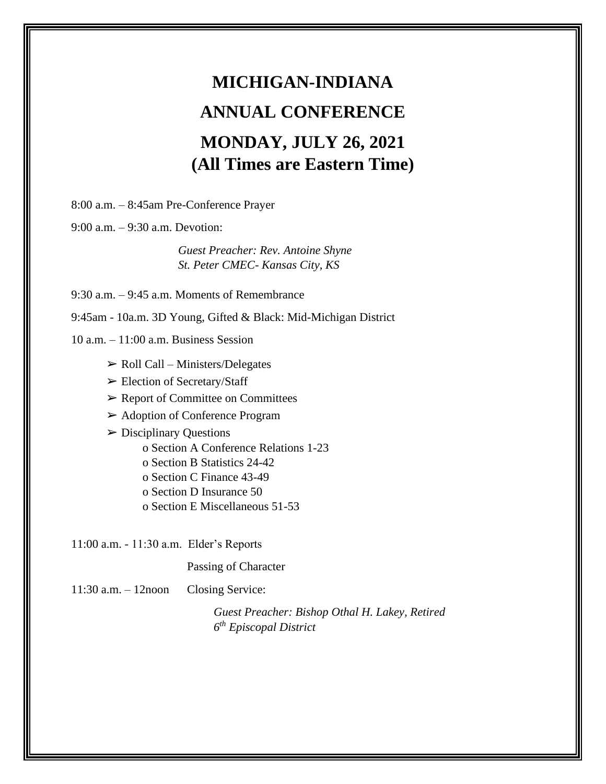# **MICHIGAN-INDIANA ANNUAL CONFERENCE MONDAY, JULY 26, 2021 (All Times are Eastern Time)**

8:00 a.m. – 8:45am Pre-Conference Prayer

9:00 a.m. – 9:30 a.m. Devotion:

*Guest Preacher: Rev. Antoine Shyne St. Peter CMEC- Kansas City, KS*

9:30 a.m. – 9:45 a.m. Moments of Remembrance

9:45am - 10a.m. 3D Young, Gifted & Black: Mid-Michigan District

 $10$  a.m.  $-11:00$  a.m. Business Session

- $\triangleright$  Roll Call Ministers/Delegates
- ➢ Election of Secretary/Staff
- ➢ Report of Committee on Committees
- ➢ Adoption of Conference Program

 $\triangleright$  Disciplinary Questions

- o Section A Conference Relations 1-23
- o Section B Statistics 24-42
- o Section C Finance 43-49
- o Section D Insurance 50
- o Section E Miscellaneous 51-53

11:00 a.m. - 11:30 a.m. Elder's Reports

Passing of Character

11:30 a.m. – 12noon Closing Service:

*Guest Preacher: Bishop Othal H. Lakey, Retired 6 th Episcopal District*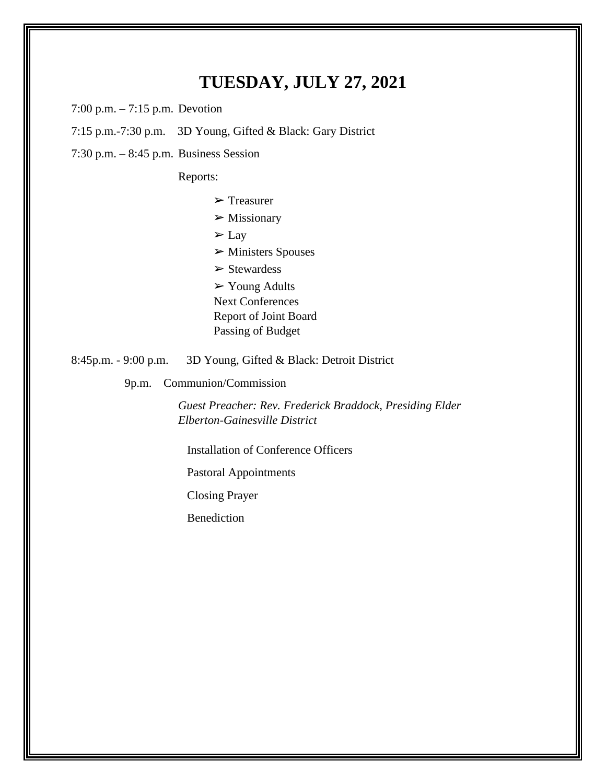### **TUESDAY, JULY 27, 2021**

7:00 p.m. – 7:15 p.m. Devotion

7:15 p.m.-7:30 p.m. 3D Young, Gifted & Black: Gary District

7:30 p.m. – 8:45 p.m. Business Session

Reports:

➢ Treasurer

 $\triangleright$  Missionary

 $\Sigma$  Lay

➢ Ministers Spouses

➢ Stewardess

 $\triangleright$  Young Adults

Next Conferences

Report of Joint Board

Passing of Budget

8:45p.m. - 9:00 p.m. 3D Young, Gifted & Black: Detroit District

9p.m. Communion/Commission

*Guest Preacher: Rev. Frederick Braddock, Presiding Elder Elberton-Gainesville District*

Installation of Conference Officers

Pastoral Appointments

Closing Prayer

Benediction